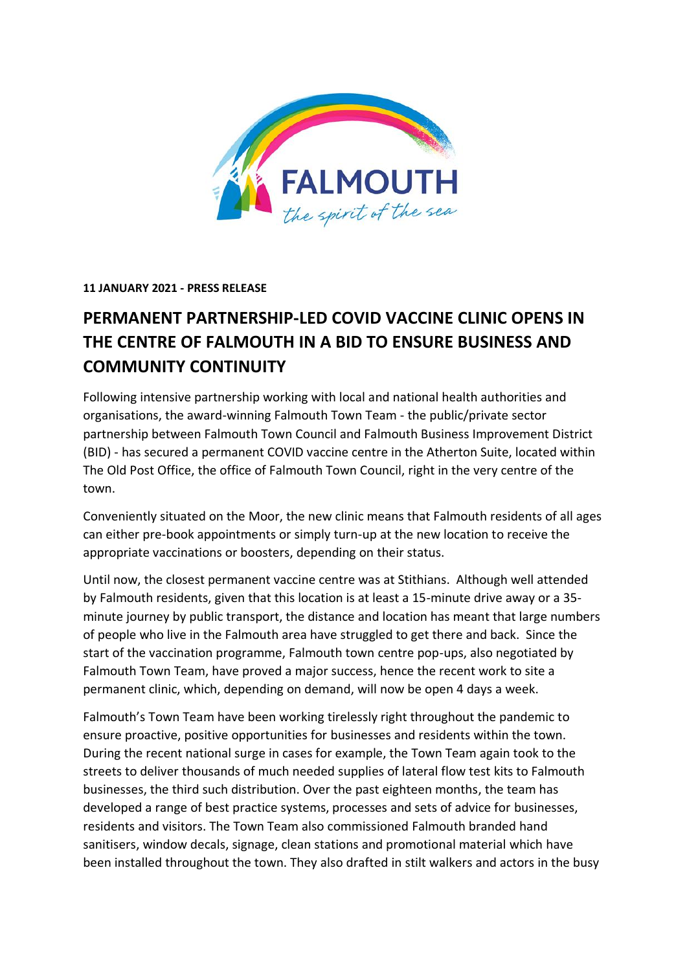

# **11 JANUARY 2021 - PRESS RELEASE**

# **PERMANENT PARTNERSHIP-LED COVID VACCINE CLINIC OPENS IN THE CENTRE OF FALMOUTH IN A BID TO ENSURE BUSINESS AND COMMUNITY CONTINUITY**

Following intensive partnership working with local and national health authorities and organisations, the award-winning Falmouth Town Team - the public/private sector partnership between Falmouth Town Council and Falmouth Business Improvement District (BID) - has secured a permanent COVID vaccine centre in the Atherton Suite, located within The Old Post Office, the office of Falmouth Town Council, right in the very centre of the town.

Conveniently situated on the Moor, the new clinic means that Falmouth residents of all ages can either pre-book appointments or simply turn-up at the new location to receive the appropriate vaccinations or boosters, depending on their status.

Until now, the closest permanent vaccine centre was at Stithians. Although well attended by Falmouth residents, given that this location is at least a 15-minute drive away or a 35 minute journey by public transport, the distance and location has meant that large numbers of people who live in the Falmouth area have struggled to get there and back. Since the start of the vaccination programme, Falmouth town centre pop-ups, also negotiated by Falmouth Town Team, have proved a major success, hence the recent work to site a permanent clinic, which, depending on demand, will now be open 4 days a week.

Falmouth's Town Team have been working tirelessly right throughout the pandemic to ensure proactive, positive opportunities for businesses and residents within the town. During the recent national surge in cases for example, the Town Team again took to the streets to deliver thousands of much needed supplies of lateral flow test kits to Falmouth businesses, the third such distribution. Over the past eighteen months, the team has developed a range of best practice systems, processes and sets of advice for businesses, residents and visitors. The Town Team also commissioned Falmouth branded hand sanitisers, window decals, signage, clean stations and promotional material which have been installed throughout the town. They also drafted in stilt walkers and actors in the busy